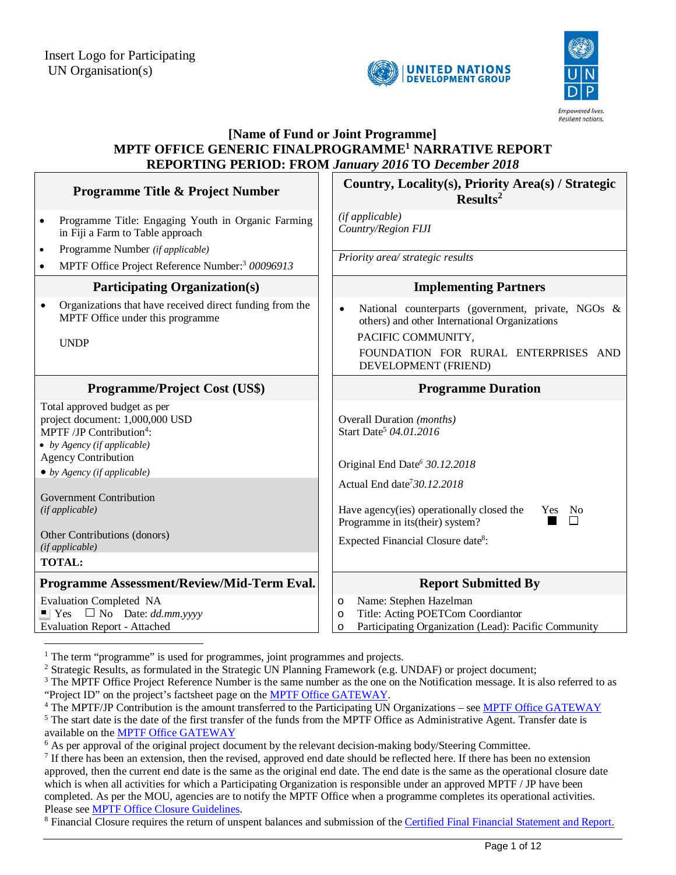



#### **[Name of Fund or Joint Programme] MPTF OFFICE GENERIC FINALPROGRAMME<sup>1</sup> NARRATIVE REPORT REPORTING PERIOD: FROM** *January 2016* **TO** *December 2018* **Programme Title & Project Number**  $\begin{bmatrix} \cdot & \cdot & \cdot \\ \cdot & \cdot & \cdot \\ \cdot & \cdot & \cdot \\ \cdot & \cdot & \cdot \\ \cdot & \cdot & \cdot \\ \cdot & \cdot & \cdot \\ \cdot & \cdot & \cdot \\ \cdot & \cdot & \cdot \\ \cdot & \cdot & \cdot \\ \cdot & \cdot & \cdot \\ \cdot & \cdot & \cdot \\ \cdot & \cdot & \cdot \\ \cdot & \cdot & \cdot \\ \cdot & \cdot & \cdot \\ \cdot & \cdot & \cdot \\ \cdot & \cdot & \cdot \\ \cdot & \cdot & \cdot \\ \cdot & \cdot & \cdot \\ \cdot & \cdot & \cdot \\ \cdot & \cdot & \cdot \\$ **Results<sup>2</sup>** • Programme Title: Engaging Youth in Organic Farming in Fiji a Farm to Table approach Programme Number *(if applicable)*  MPTF Office Project Reference Number:<sup>3</sup> *00096913 (if applicable) Country/Region FIJI Priority area/ strategic results*  Participating Organization(s) **Implementing Partners**  Organizations that have received direct funding from the MPTF Office under this programme UNDP • National counterparts (government, private, NGOs & others) and other International Organizations PACIFIC COMMUNITY, FOUNDATION FOR RURAL ENTERPRISES AND DEVELOPMENT (FRIEND) **Programme/Project Cost (US\$)** Programme Duration Total approved budget as per project document: 1,000,000 USD MPTF / JP Contribution<sup>4</sup>: *by Agency (if applicable)* Overall Duration *(months)* Start Date<sup>5</sup> *04.01.2016* Agency Contribution *by Agency (if applicable)* Original End Date*<sup>6</sup> 30.12.2018* Government Contribution *(if applicable)* Actual End date<sup>7</sup>*30.12.2018* Have agency(ies) operationally closed the Programme in its(their) system? Yes No Other Contributions (donors)<br>(if applicable) *(if applicable)* Expected Financial Closure date<sup>8</sup> : **TOTAL: Programme Assessment/Review/Mid-Term Eval.** Report Submitted By Evaluation Completed NA  $\blacksquare$  Yes  $\square$  No Date: *dd.mm.yyyy* Evaluation Report - Attached o Name: Stephen Hazelman o Title: Acting POETCom Coordiantor o Participating Organization (Lead): Pacific Community

<sup>1</sup> The term "programme" is used for programmes, joint programmes and projects.

-

<sup>2</sup> Strategic Results, as formulated in the Strategic UN Planning Framework (e.g. UNDAF) or project document;

 $3$  The MPTF Office Project Reference Number is the same number as the one on the Notification message. It is also referred to as "Project ID" on the project's factsheet page on the MPTF Office GATEWAY.

<sup>4</sup> The MPTF/JP Contribution is the amount transferred to the Participating UN Organizations – see MPTF Office GATEWAY

<sup>5</sup> The start date is the date of the first transfer of the funds from the MPTF Office as Administrative Agent. Transfer date is available on the MPTF Office GATEWAY

<sup>6</sup> As per approval of the original project document by the relevant decision-making body/Steering Committee.

<sup>7</sup> If there has been an extension, then the revised, approved end date should be reflected here. If there has been no extension approved, then the current end date is the same as the original end date. The end date is the same as the operational closure date which is when all activities for which a Participating Organization is responsible under an approved MPTF / JP have been completed. As per the MOU, agencies are to notify the MPTF Office when a programme completes its operational activities. Please see MPTF Office Closure Guidelines.

<sup>8</sup> Financial Closure requires the return of unspent balances and submission of the Certified Final Financial Statement and Report.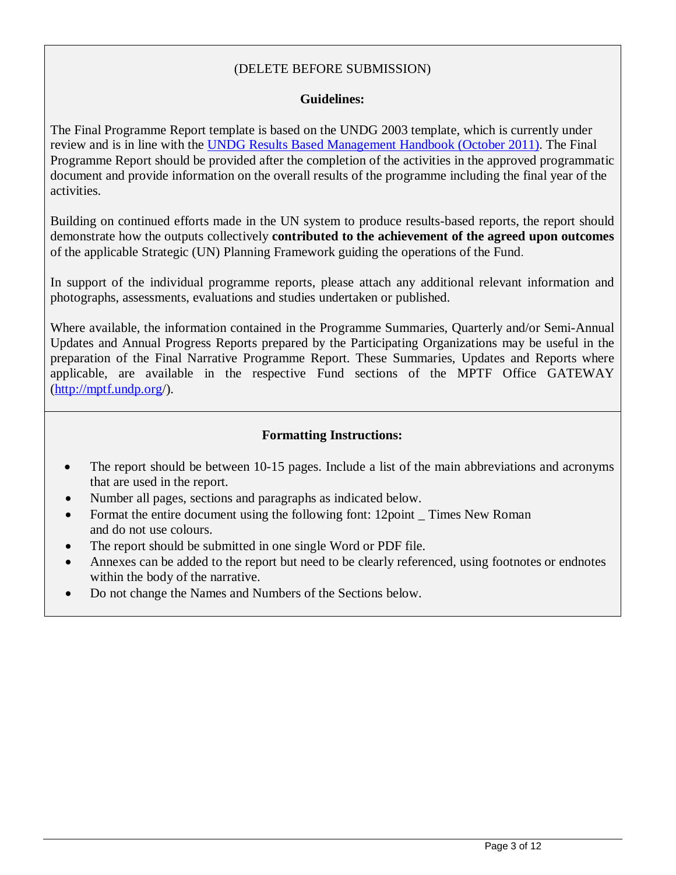# (DELETE BEFORE SUBMISSION)

# **Guidelines:**

The Final Programme Report template is based on the UNDG 2003 template, which is currently under review and is in line with the UNDG Results Based Management Handbook (October 2011). The Final Programme Report should be provided after the completion of the activities in the approved programmatic document and provide information on the overall results of the programme including the final year of the activities.

Building on continued efforts made in the UN system to produce results-based reports, the report should demonstrate how the outputs collectively **contributed to the achievement of the agreed upon outcomes** of the applicable Strategic (UN) Planning Framework guiding the operations of the Fund.

In support of the individual programme reports, please attach any additional relevant information and photographs, assessments, evaluations and studies undertaken or published.

Where available, the information contained in the Programme Summaries, Quarterly and/or Semi-Annual Updates and Annual Progress Reports prepared by the Participating Organizations may be useful in the preparation of the Final Narrative Programme Report. These Summaries, Updates and Reports where applicable, are available in the respective Fund sections of the MPTF Office GATEWAY (http://mptf.undp.org/).

#### **Formatting Instructions:**

- The report should be between 10-15 pages. Include a list of the main abbreviations and acronyms that are used in the report.
- Number all pages, sections and paragraphs as indicated below.
- Format the entire document using the following font: 12point Times New Roman and do not use colours.
- The report should be submitted in one single Word or PDF file.
- Annexes can be added to the report but need to be clearly referenced, using footnotes or endnotes within the body of the narrative.
- Do not change the Names and Numbers of the Sections below.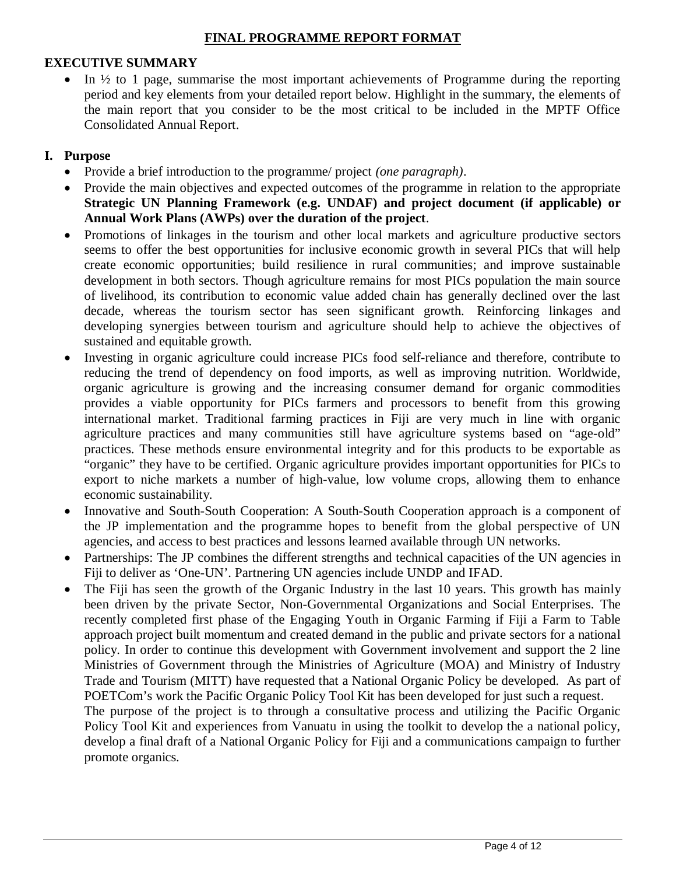# **EXECUTIVE SUMMARY**

 $\bullet$  In  $\frac{1}{2}$  to 1 page, summarise the most important achievements of Programme during the reporting period and key elements from your detailed report below. Highlight in the summary, the elements of the main report that you consider to be the most critical to be included in the MPTF Office Consolidated Annual Report.

# **I. Purpose**

- Provide a brief introduction to the programme/ project *(one paragraph)*.
- Provide the main objectives and expected outcomes of the programme in relation to the appropriate **Strategic UN Planning Framework (e.g. UNDAF) and project document (if applicable) or Annual Work Plans (AWPs) over the duration of the project**.
- Promotions of linkages in the tourism and other local markets and agriculture productive sectors seems to offer the best opportunities for inclusive economic growth in several PICs that will help create economic opportunities; build resilience in rural communities; and improve sustainable development in both sectors. Though agriculture remains for most PICs population the main source of livelihood, its contribution to economic value added chain has generally declined over the last decade, whereas the tourism sector has seen significant growth. Reinforcing linkages and developing synergies between tourism and agriculture should help to achieve the objectives of sustained and equitable growth.
- Investing in organic agriculture could increase PICs food self-reliance and therefore, contribute to reducing the trend of dependency on food imports, as well as improving nutrition. Worldwide, organic agriculture is growing and the increasing consumer demand for organic commodities provides a viable opportunity for PICs farmers and processors to benefit from this growing international market. Traditional farming practices in Fiji are very much in line with organic agriculture practices and many communities still have agriculture systems based on "age-old" practices. These methods ensure environmental integrity and for this products to be exportable as "organic" they have to be certified. Organic agriculture provides important opportunities for PICs to export to niche markets a number of high-value, low volume crops, allowing them to enhance economic sustainability.
- Innovative and South-South Cooperation: A South-South Cooperation approach is a component of the JP implementation and the programme hopes to benefit from the global perspective of UN agencies, and access to best practices and lessons learned available through UN networks.
- Partnerships: The JP combines the different strengths and technical capacities of the UN agencies in Fiji to deliver as 'One-UN'. Partnering UN agencies include UNDP and IFAD.
- The Fiji has seen the growth of the Organic Industry in the last 10 years. This growth has mainly been driven by the private Sector, Non-Governmental Organizations and Social Enterprises. The recently completed first phase of the Engaging Youth in Organic Farming if Fiji a Farm to Table approach project built momentum and created demand in the public and private sectors for a national policy. In order to continue this development with Government involvement and support the 2 line Ministries of Government through the Ministries of Agriculture (MOA) and Ministry of Industry Trade and Tourism (MITT) have requested that a National Organic Policy be developed. As part of POETCom's work the Pacific Organic Policy Tool Kit has been developed for just such a request.
	- The purpose of the project is to through a consultative process and utilizing the Pacific Organic Policy Tool Kit and experiences from Vanuatu in using the toolkit to develop the a national policy, develop a final draft of a National Organic Policy for Fiji and a communications campaign to further promote organics.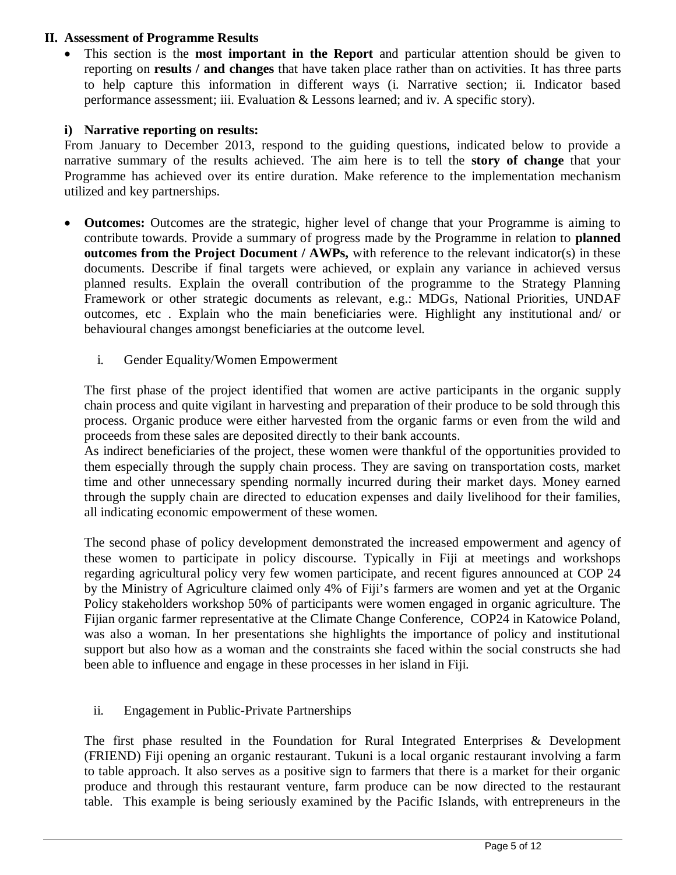# **II. Assessment of Programme Results**

 This section is the **most important in the Report** and particular attention should be given to reporting on **results / and changes** that have taken place rather than on activities. It has three parts to help capture this information in different ways (i. Narrative section; ii. Indicator based performance assessment; iii. Evaluation & Lessons learned; and iv. A specific story).

#### **i) Narrative reporting on results:**

From January to December 2013, respond to the guiding questions, indicated below to provide a narrative summary of the results achieved. The aim here is to tell the **story of change** that your Programme has achieved over its entire duration. Make reference to the implementation mechanism utilized and key partnerships.

- **Outcomes:** Outcomes are the strategic, higher level of change that your Programme is aiming to contribute towards. Provide a summary of progress made by the Programme in relation to **planned outcomes from the Project Document / AWPs,** with reference to the relevant indicator(s) in these documents. Describe if final targets were achieved, or explain any variance in achieved versus planned results. Explain the overall contribution of the programme to the Strategy Planning Framework or other strategic documents as relevant, e.g.: MDGs, National Priorities, UNDAF outcomes, etc . Explain who the main beneficiaries were. Highlight any institutional and/ or behavioural changes amongst beneficiaries at the outcome level.
	- i. Gender Equality/Women Empowerment

The first phase of the project identified that women are active participants in the organic supply chain process and quite vigilant in harvesting and preparation of their produce to be sold through this process. Organic produce were either harvested from the organic farms or even from the wild and proceeds from these sales are deposited directly to their bank accounts.

As indirect beneficiaries of the project, these women were thankful of the opportunities provided to them especially through the supply chain process. They are saving on transportation costs, market time and other unnecessary spending normally incurred during their market days. Money earned through the supply chain are directed to education expenses and daily livelihood for their families, all indicating economic empowerment of these women.

The second phase of policy development demonstrated the increased empowerment and agency of these women to participate in policy discourse. Typically in Fiji at meetings and workshops regarding agricultural policy very few women participate, and recent figures announced at COP 24 by the Ministry of Agriculture claimed only 4% of Fiji's farmers are women and yet at the Organic Policy stakeholders workshop 50% of participants were women engaged in organic agriculture. The Fijian organic farmer representative at the Climate Change Conference, COP24 in Katowice Poland, was also a woman. In her presentations she highlights the importance of policy and institutional support but also how as a woman and the constraints she faced within the social constructs she had been able to influence and engage in these processes in her island in Fiji.

# ii. Engagement in Public-Private Partnerships

The first phase resulted in the Foundation for Rural Integrated Enterprises & Development (FRIEND) Fiji opening an organic restaurant. Tukuni is a local organic restaurant involving a farm to table approach. It also serves as a positive sign to farmers that there is a market for their organic produce and through this restaurant venture, farm produce can be now directed to the restaurant table. This example is being seriously examined by the Pacific Islands, with entrepreneurs in the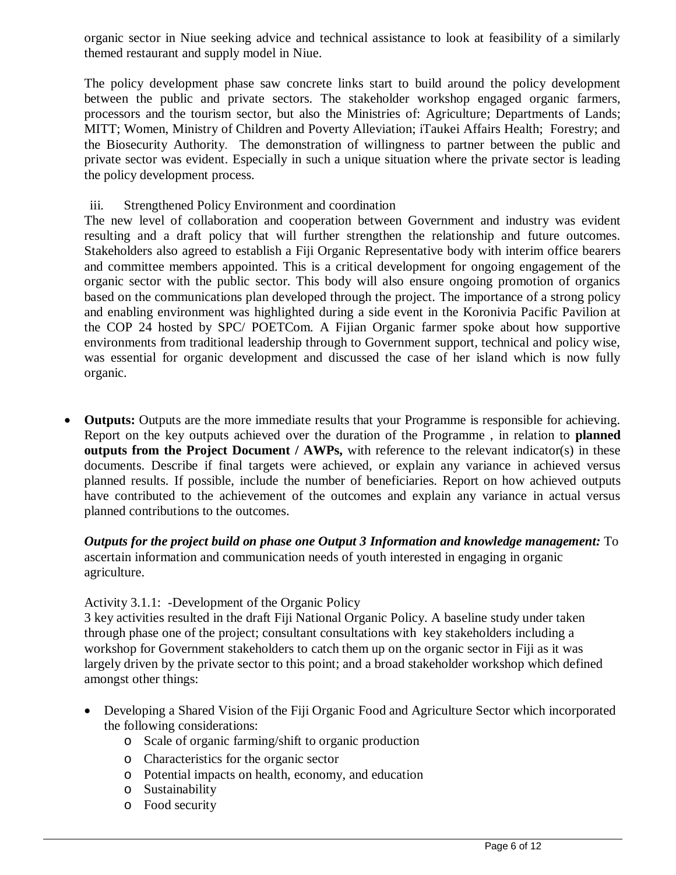organic sector in Niue seeking advice and technical assistance to look at feasibility of a similarly themed restaurant and supply model in Niue.

The policy development phase saw concrete links start to build around the policy development between the public and private sectors. The stakeholder workshop engaged organic farmers, processors and the tourism sector, but also the Ministries of: Agriculture; Departments of Lands; MITT; Women, Ministry of Children and Poverty Alleviation; iTaukei Affairs Health; Forestry; and the Biosecurity Authority. The demonstration of willingness to partner between the public and private sector was evident. Especially in such a unique situation where the private sector is leading the policy development process.

### iii. Strengthened Policy Environment and coordination

The new level of collaboration and cooperation between Government and industry was evident resulting and a draft policy that will further strengthen the relationship and future outcomes. Stakeholders also agreed to establish a Fiji Organic Representative body with interim office bearers and committee members appointed. This is a critical development for ongoing engagement of the organic sector with the public sector. This body will also ensure ongoing promotion of organics based on the communications plan developed through the project. The importance of a strong policy and enabling environment was highlighted during a side event in the Koronivia Pacific Pavilion at the COP 24 hosted by SPC/ POETCom. A Fijian Organic farmer spoke about how supportive environments from traditional leadership through to Government support, technical and policy wise, was essential for organic development and discussed the case of her island which is now fully organic.

 **Outputs:** Outputs are the more immediate results that your Programme is responsible for achieving. Report on the key outputs achieved over the duration of the Programme , in relation to **planned outputs from the Project Document / AWPs,** with reference to the relevant indicator(s) in these documents. Describe if final targets were achieved, or explain any variance in achieved versus planned results. If possible, include the number of beneficiaries. Report on how achieved outputs have contributed to the achievement of the outcomes and explain any variance in actual versus planned contributions to the outcomes.

*Outputs for the project build on phase one Output 3 Information and knowledge management:* To ascertain information and communication needs of youth interested in engaging in organic agriculture.

#### Activity 3.1.1: -Development of the Organic Policy

3 key activities resulted in the draft Fiji National Organic Policy. A baseline study under taken through phase one of the project; consultant consultations with key stakeholders including a workshop for Government stakeholders to catch them up on the organic sector in Fiji as it was largely driven by the private sector to this point; and a broad stakeholder workshop which defined amongst other things:

- Developing a Shared Vision of the Fiji Organic Food and Agriculture Sector which incorporated the following considerations:
	- o Scale of organic farming/shift to organic production
	- o Characteristics for the organic sector
	- o Potential impacts on health, economy, and education
	- o Sustainability
	- o Food security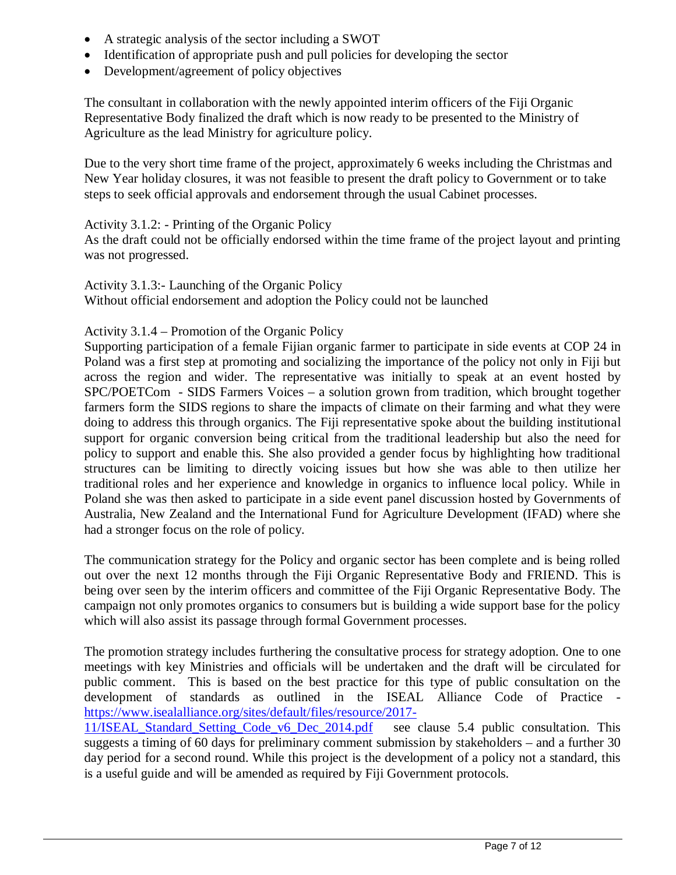- A strategic analysis of the sector including a SWOT
- Identification of appropriate push and pull policies for developing the sector
- Development/agreement of policy objectives

The consultant in collaboration with the newly appointed interim officers of the Fiji Organic Representative Body finalized the draft which is now ready to be presented to the Ministry of Agriculture as the lead Ministry for agriculture policy.

Due to the very short time frame of the project, approximately 6 weeks including the Christmas and New Year holiday closures, it was not feasible to present the draft policy to Government or to take steps to seek official approvals and endorsement through the usual Cabinet processes.

#### Activity 3.1.2: - Printing of the Organic Policy

As the draft could not be officially endorsed within the time frame of the project layout and printing was not progressed.

Activity 3.1.3:- Launching of the Organic Policy Without official endorsement and adoption the Policy could not be launched

#### Activity 3.1.4 – Promotion of the Organic Policy

Supporting participation of a female Fijian organic farmer to participate in side events at COP 24 in Poland was a first step at promoting and socializing the importance of the policy not only in Fiji but across the region and wider. The representative was initially to speak at an event hosted by SPC/POETCom - SIDS Farmers Voices – a solution grown from tradition, which brought together farmers form the SIDS regions to share the impacts of climate on their farming and what they were doing to address this through organics. The Fiji representative spoke about the building institutional support for organic conversion being critical from the traditional leadership but also the need for policy to support and enable this. She also provided a gender focus by highlighting how traditional structures can be limiting to directly voicing issues but how she was able to then utilize her traditional roles and her experience and knowledge in organics to influence local policy. While in Poland she was then asked to participate in a side event panel discussion hosted by Governments of Australia, New Zealand and the International Fund for Agriculture Development (IFAD) where she had a stronger focus on the role of policy.

The communication strategy for the Policy and organic sector has been complete and is being rolled out over the next 12 months through the Fiji Organic Representative Body and FRIEND. This is being over seen by the interim officers and committee of the Fiji Organic Representative Body. The campaign not only promotes organics to consumers but is building a wide support base for the policy which will also assist its passage through formal Government processes.

The promotion strategy includes furthering the consultative process for strategy adoption. One to one meetings with key Ministries and officials will be undertaken and the draft will be circulated for public comment. This is based on the best practice for this type of public consultation on the development of standards as outlined in the ISEAL Alliance Code of Practice https://www.isealalliance.org/sites/default/files/resource/2017-

11/ISEAL\_Standard\_Setting\_Code\_v6\_Dec\_2014.pdf see clause 5.4 public consultation. This suggests a timing of 60 days for preliminary comment submission by stakeholders – and a further 30 day period for a second round. While this project is the development of a policy not a standard, this is a useful guide and will be amended as required by Fiji Government protocols.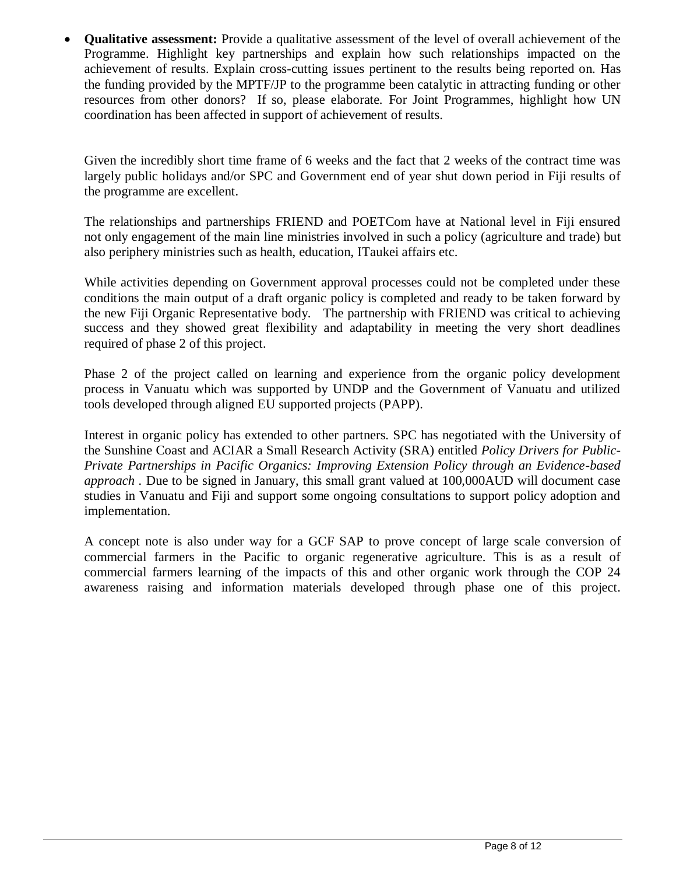**Qualitative assessment:** Provide a qualitative assessment of the level of overall achievement of the Programme. Highlight key partnerships and explain how such relationships impacted on the achievement of results. Explain cross-cutting issues pertinent to the results being reported on. Has the funding provided by the MPTF/JP to the programme been catalytic in attracting funding or other resources from other donors? If so, please elaborate. For Joint Programmes, highlight how UN coordination has been affected in support of achievement of results.

Given the incredibly short time frame of 6 weeks and the fact that 2 weeks of the contract time was largely public holidays and/or SPC and Government end of year shut down period in Fiji results of the programme are excellent.

The relationships and partnerships FRIEND and POETCom have at National level in Fiji ensured not only engagement of the main line ministries involved in such a policy (agriculture and trade) but also periphery ministries such as health, education, ITaukei affairs etc.

While activities depending on Government approval processes could not be completed under these conditions the main output of a draft organic policy is completed and ready to be taken forward by the new Fiji Organic Representative body. The partnership with FRIEND was critical to achieving success and they showed great flexibility and adaptability in meeting the very short deadlines required of phase 2 of this project.

Phase 2 of the project called on learning and experience from the organic policy development process in Vanuatu which was supported by UNDP and the Government of Vanuatu and utilized tools developed through aligned EU supported projects (PAPP).

Interest in organic policy has extended to other partners. SPC has negotiated with the University of the Sunshine Coast and ACIAR a Small Research Activity (SRA) entitled *Policy Drivers for Public-Private Partnerships in Pacific Organics: Improving Extension Policy through an Evidence-based approach .* Due to be signed in January, this small grant valued at 100,000AUD will document case studies in Vanuatu and Fiji and support some ongoing consultations to support policy adoption and implementation.

A concept note is also under way for a GCF SAP to prove concept of large scale conversion of commercial farmers in the Pacific to organic regenerative agriculture. This is as a result of commercial farmers learning of the impacts of this and other organic work through the COP 24 awareness raising and information materials developed through phase one of this project.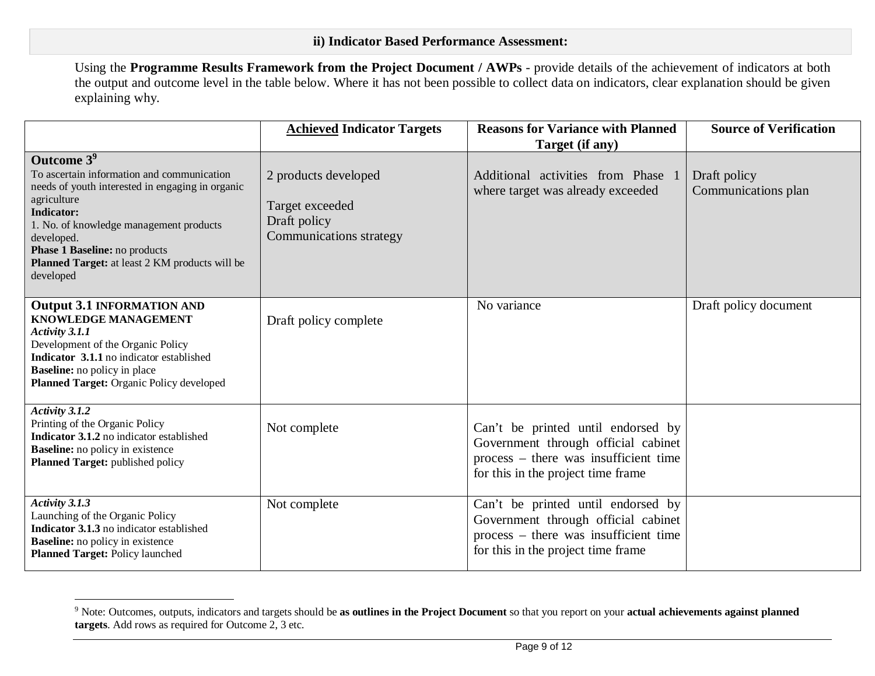Using the **Programme Results Framework from the Project Document / AWPs** - provide details of the achievement of indicators at both the output and outcome level in the table below. Where it has not been possible to collect data on indicators, clear explanation should be given explaining why.

|                                                                                                                                                                                                                                                                                                                       | <b>Achieved Indicator Targets</b>                                                  | <b>Reasons for Variance with Planned</b><br>Target (if any)                                                                                              | <b>Source of Verification</b>       |
|-----------------------------------------------------------------------------------------------------------------------------------------------------------------------------------------------------------------------------------------------------------------------------------------------------------------------|------------------------------------------------------------------------------------|----------------------------------------------------------------------------------------------------------------------------------------------------------|-------------------------------------|
| Outcome 3 <sup>9</sup><br>To ascertain information and communication<br>needs of youth interested in engaging in organic<br>agriculture<br><b>Indicator:</b><br>1. No. of knowledge management products<br>developed.<br>Phase 1 Baseline: no products<br>Planned Target: at least 2 KM products will be<br>developed | 2 products developed<br>Target exceeded<br>Draft policy<br>Communications strategy | Additional activities from Phase 1<br>where target was already exceeded                                                                                  | Draft policy<br>Communications plan |
| <b>Output 3.1 INFORMATION AND</b><br><b>KNOWLEDGE MANAGEMENT</b><br>Activity 3.1.1<br>Development of the Organic Policy<br>Indicator 3.1.1 no indicator established<br><b>Baseline:</b> no policy in place<br>Planned Target: Organic Policy developed                                                                | Draft policy complete                                                              | No variance                                                                                                                                              | Draft policy document               |
| Activity 3.1.2<br>Printing of the Organic Policy<br>Indicator 3.1.2 no indicator established<br><b>Baseline:</b> no policy in existence<br>Planned Target: published policy                                                                                                                                           | Not complete                                                                       | Can't be printed until endorsed by<br>Government through official cabinet<br>process – there was insufficient time<br>for this in the project time frame |                                     |
| Activity 3.1.3<br>Launching of the Organic Policy<br>Indicator 3.1.3 no indicator established<br><b>Baseline:</b> no policy in existence<br><b>Planned Target: Policy launched</b>                                                                                                                                    | Not complete                                                                       | Can't be printed until endorsed by<br>Government through official cabinet<br>process – there was insufficient time<br>for this in the project time frame |                                     |

 $\overline{a}$ 

<sup>9</sup> Note: Outcomes, outputs, indicators and targets should be **as outlines in the Project Document** so that you report on your **actual achievements against planned targets**. Add rows as required for Outcome 2, 3 etc.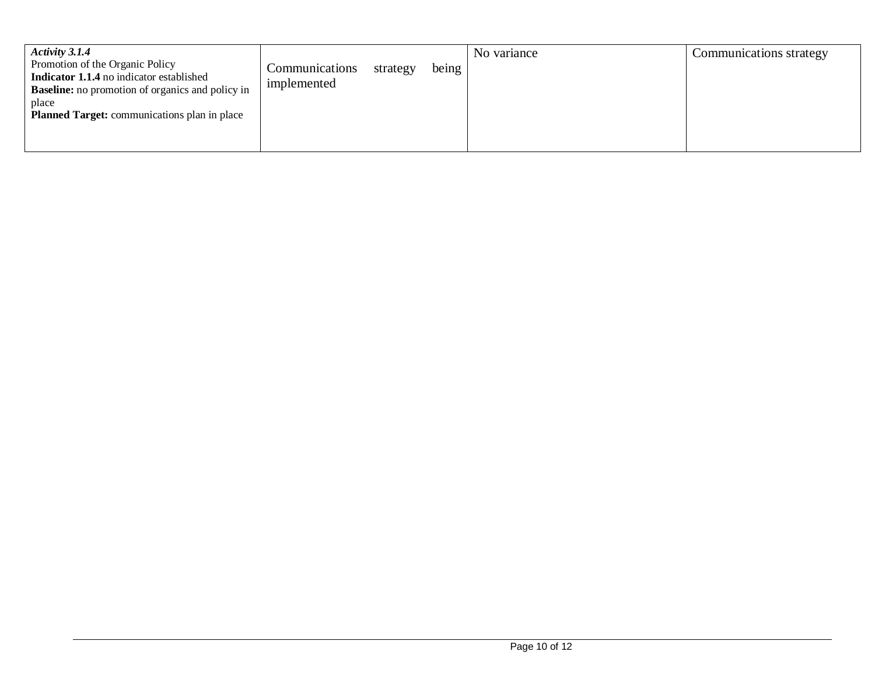| <b>Activity 3.1.4</b>                                                                                      |                |          |       | No variance | Communications strategy |
|------------------------------------------------------------------------------------------------------------|----------------|----------|-------|-------------|-------------------------|
| Promotion of the Organic Policy                                                                            | Communications | strategy | being |             |                         |
| <b>Indicator 1.1.4</b> no indicator established<br><b>Baseline:</b> no promotion of organics and policy in | implemented    |          |       |             |                         |
| place                                                                                                      |                |          |       |             |                         |
| <b>Planned Target:</b> communications plan in place                                                        |                |          |       |             |                         |
|                                                                                                            |                |          |       |             |                         |
|                                                                                                            |                |          |       |             |                         |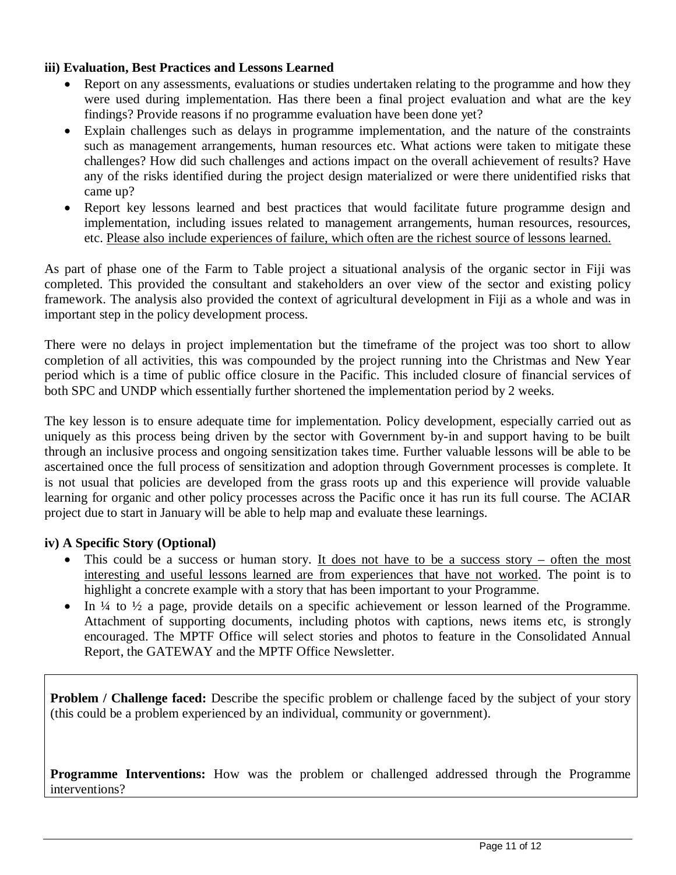# **iii) Evaluation, Best Practices and Lessons Learned**

- Report on any assessments, evaluations or studies undertaken relating to the programme and how they were used during implementation. Has there been a final project evaluation and what are the key findings? Provide reasons if no programme evaluation have been done yet?
- Explain challenges such as delays in programme implementation, and the nature of the constraints such as management arrangements, human resources etc. What actions were taken to mitigate these challenges? How did such challenges and actions impact on the overall achievement of results? Have any of the risks identified during the project design materialized or were there unidentified risks that came up?
- Report key lessons learned and best practices that would facilitate future programme design and implementation, including issues related to management arrangements, human resources, resources, etc. Please also include experiences of failure, which often are the richest source of lessons learned.

As part of phase one of the Farm to Table project a situational analysis of the organic sector in Fiji was completed. This provided the consultant and stakeholders an over view of the sector and existing policy framework. The analysis also provided the context of agricultural development in Fiji as a whole and was in important step in the policy development process.

There were no delays in project implementation but the timeframe of the project was too short to allow completion of all activities, this was compounded by the project running into the Christmas and New Year period which is a time of public office closure in the Pacific. This included closure of financial services of both SPC and UNDP which essentially further shortened the implementation period by 2 weeks.

The key lesson is to ensure adequate time for implementation. Policy development, especially carried out as uniquely as this process being driven by the sector with Government by-in and support having to be built through an inclusive process and ongoing sensitization takes time. Further valuable lessons will be able to be ascertained once the full process of sensitization and adoption through Government processes is complete. It is not usual that policies are developed from the grass roots up and this experience will provide valuable learning for organic and other policy processes across the Pacific once it has run its full course. The ACIAR project due to start in January will be able to help map and evaluate these learnings.

# **iv) A Specific Story (Optional)**

- This could be a success or human story. It does not have to be a success story often the most interesting and useful lessons learned are from experiences that have not worked. The point is to highlight a concrete example with a story that has been important to your Programme.
- $\bullet$  In ¼ to ½ a page, provide details on a specific achievement or lesson learned of the Programme. Attachment of supporting documents, including photos with captions, news items etc, is strongly encouraged. The MPTF Office will select stories and photos to feature in the Consolidated Annual Report, the GATEWAY and the MPTF Office Newsletter.

**Problem / Challenge faced:** Describe the specific problem or challenge faced by the subject of your story (this could be a problem experienced by an individual, community or government).

**Programme Interventions:** How was the problem or challenged addressed through the Programme interventions?